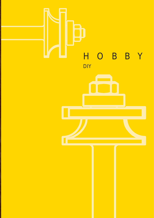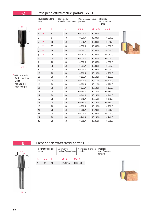#### $H<sub>0</sub>$

#### Frese per elettrofresatrici portatili Z2+1



\*HM integrale<br>Solid carbide **VHM** Monobloc MD integral

|                | Router bits for electric<br>routers |          |    | Shaftfräser für | Handoberfräsmaschinen | Mèches pour defonseuse<br>portative |             | Fresas para<br>electrofresadoras<br>portatiles |          |  |
|----------------|-------------------------------------|----------|----|-----------------|-----------------------|-------------------------------------|-------------|------------------------------------------------|----------|--|
|                | ØD                                  |          |    |                 | L                     | $ØS=6$                              | $ØS = 6,35$ |                                                | $QS = 8$ |  |
| $\overline{2}$ |                                     | $\star$  | 6  |                 | 50                    | H0.020.A                            | H0.020.B    |                                                |          |  |
| 3              |                                     | $^\star$ | 8  |                 | 50                    | H0.030.A                            | H0.030.B    |                                                | H0.030.C |  |
| $\overline{4}$ |                                     | $\star$  | 10 |                 | 50                    | H0.040.A                            | H0.040.B    |                                                | H0.040.C |  |
| 5              |                                     | $\star$  | 15 |                 | 50                    | H0.050.A                            | H0.050.B    |                                                | H0.050.C |  |
| 6              |                                     | $^\star$ | 18 |                 | 50                    | H0.060.A                            | H0.060.B    |                                                | H0.060.C |  |
| 6              |                                     | $^\star$ | 25 |                 | 60                    | H0.061.A                            | H0.061.B    |                                                | H0.061.C |  |
| $\overline{7}$ |                                     |          | 20 |                 | 50                    | H0.070.A                            | H0.070.B    |                                                | H0.070.C |  |
| 8              |                                     |          | 20 |                 | 50                    | H0.080.A                            | H0.080.B    |                                                | H0.080.C |  |
| 8              |                                     |          | 30 |                 | 60                    | H0.081.A                            | H0.081.B    |                                                | H0.081.C |  |
| 9              |                                     |          | 20 |                 | 50                    | H0.090.A                            | H0.090.B    |                                                | H0.090.C |  |
| 10             |                                     |          | 20 |                 | 50                    | H0.100.A                            | H0.100.B    |                                                | H0.100.C |  |
| 10             |                                     |          | 30 |                 | 50                    | H0.101.A                            | H0.101.B    |                                                | H0.101.C |  |
| 11             |                                     |          | 20 |                 | 50                    | H0.110.A                            | H0.110.B    |                                                | H0.110.C |  |
| 12             |                                     |          | 20 |                 | 50                    | H0.120.A                            | H0.120.B    |                                                | H0.120.C |  |
| 12             |                                     |          | 30 |                 | 60                    | H0.121.A                            | H0.121.B    |                                                | H0.121.C |  |
| 13             |                                     |          | 20 |                 | 50                    | H0.130.A                            | H0.130.B    |                                                | H0.130.C |  |
| 14             |                                     |          | 20 |                 | 50                    | H0.140.A                            | H0.140.B    |                                                | H0.140.C |  |
| 15             |                                     |          | 20 |                 | 50                    | H0.150.A                            | H0.150.B    |                                                | H0.150.C |  |
| 16             |                                     |          | 20 |                 | 50                    | H0.160.A                            | H0.160.B    |                                                | H0.160.C |  |
| 18             |                                     |          | 20 |                 | 50                    | H0.180.A                            | H0.180.B    |                                                | H0.180.C |  |
| 20             |                                     |          | 20 |                 | 50                    | H0.200.A                            | H0.200.B    |                                                | H0.200.C |  |
| 22             |                                     |          | 20 |                 | 50                    | H0.220.A                            | H0.220.B    |                                                | H0.220.C |  |
| 24             |                                     |          | 20 |                 | 50                    | H0.240.A                            | H0.240.B    |                                                | H0.240.C |  |
| 25             |                                     |          | 20 |                 | 50                    | H0.250.A                            | H0.250.B    |                                                | H0.250.C |  |



 $\os$ 

#### Frese per elettrofresatrici portatili Z2

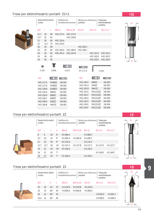

| routers | Router bits for electric |    | Shaftfräser für        | Handoberfräsmaschinen  | Mèches pour defonseuse<br>portative |           | Fresas para<br>electrofresadoras<br>portatiles |
|---------|--------------------------|----|------------------------|------------------------|-------------------------------------|-----------|------------------------------------------------|
| ØD      | ı                        | T. | $\emptyset$ S=6        | $ØS = 6.35$            | $OS=8$                              | $QS=12$   | $OS = 12,7$                                    |
| 12,7    | 20                       | 60 | H01.127.A              | H01.127.B              |                                     |           |                                                |
| 12.7    | 25                       | 65 |                        | H <sub>01</sub> .128.B |                                     |           |                                                |
| 13      | 20                       | 60 | H <sub>01</sub> .130.A |                        |                                     |           |                                                |
| 15      | 31,7                     | 70 | H01.150.A              |                        |                                     |           |                                                |
| 16      | 20                       | 60 |                        |                        | H01.160.C                           |           |                                                |
| 19      | 20                       | 60 | H01.190.A              | H01.190.B              | H01.190.C                           |           |                                                |
| 19      | 25                       | 65 | H01.191.A              | H <sub>01</sub> .191.B |                                     | H01.191.F | H01.191.F                                      |
| 19      | 38                       | 82 |                        |                        |                                     | H01.192.F | H01.192.F                                      |
| 19      | 50                       | 92 |                        |                        |                                     | H01.193.E | H01.193.F                                      |
|         |                          |    |                        |                        |                                     |           |                                                |



| ш<br>1S.002       | 1V.006 | 626 ZZ      | -----<br>m<br>. .<br>ER 1212 ZZ  | 1Z.004 |   |
|-------------------|--------|-------------|----------------------------------|--------|---|
| Ref.              |        |             | Ref.                             |        | C |
| $\sqcup$ 01 107 A | D10077 | $11M$ $001$ | H <sub>01</sub> 190 <sub>C</sub> | 69877  | 1 |

| H01.127.A              | R18877 | 1W.001 | H01.190.C              | 69877    | 1W.003 |
|------------------------|--------|--------|------------------------|----------|--------|
| H01.127.B              | R18877 | 1W.002 | H <sub>01</sub> .191.A | 62677    | 1W.001 |
| H01.128.B              | R188ZZ | 1W.002 | H01.191.B              | R4A77    | 1W.002 |
| H <sub>01</sub> .130.A | 68677  | 1W.001 | H <sub>01</sub> .191.F | FR121277 | 1W.004 |
| H <sub>01.150</sub> .A | 69677  | 1W.001 | H <sub>01</sub> .191.F | FR121277 | 1W.005 |
| H01.160.C              | 68877  | 1W.003 | H01.192.F              | FR121277 | 1W.004 |
| H <sub>01.190</sub> .A | 62677  | 1W.001 | H <sub>01</sub> .192.F | FR121277 | 1W.005 |
| H01.190.B              | R4A77  | 1W.002 | H <sub>01</sub> .193.F | FR121277 | 1W.004 |
|                        |        |        | H <sub>01</sub> .193.F | FR121277 | 1W.005 |

# Frese per elettrofresatrici portatili Z2

| routers | Router bits for electric |    |              | Shaftfräser für<br>Handoberfräsmaschinen | Mèches pour defonseuse<br>portative |                       |                       | Fresas para<br>electrofresadoras<br>portatiles |                      |                      |
|---------|--------------------------|----|--------------|------------------------------------------|-------------------------------------|-----------------------|-----------------------|------------------------------------------------|----------------------|----------------------|
| ØD      |                          | L  | A            | $\mathcal{O}S = 6$                       |                                     | $ØS = 6,35$           | $QS = 8$              |                                                | $QS=12$              | $QS = 12.7$          |
| 8       | 9                        | 40 | $9^{\circ}$  | H <sub>2.080</sub> .A                    |                                     |                       | H <sub>2.080</sub> .C |                                                |                      |                      |
| 9.5     | 9.5                      | 42 | 9°           | H <sub>2</sub> .095.A                    |                                     | H <sub>2</sub> .095.B | H <sub>2</sub> .095.C |                                                |                      |                      |
| 11      | 10                       | 40 | $9^{\circ}$  | H2.110.A                                 |                                     |                       | H <sub>2.110.</sub> C |                                                |                      |                      |
| 12.7    | 12.7                     | 50 | $14^{\circ}$ | H <sub>2.127</sub> .A                    |                                     | H <sub>2.127</sub> .B | H <sub>2.127</sub> .C |                                                | H <sub>2.127</sub> F | H <sub>2.127</sub> F |
| 14      | 15                       | 45 | $10^{\circ}$ | H2.140.A                                 |                                     |                       | H <sub>2.140.</sub> C |                                                |                      |                      |
| 16      | 22                       | 63 | $7^{\circ}$  |                                          |                                     |                       |                       |                                                | H <sub>2.160</sub> F | H <sub>2.160</sub> F |
| 19      | 22                       | 63 | $7^{\circ}$  | $H2$ .190.A                              |                                     |                       | H2.190.C.             |                                                |                      |                      |



| Frese per elettrofresatrici portatili Z2 |  |
|------------------------------------------|--|



| Router bits for electric<br>routers |    |              |    | Shaftfräser für<br>Handoberfräsmaschinen |                      |  | portative | Mèches pour defonseuse<br>Fresas para<br>electrofresadoras<br>portatiles |                      |  |
|-------------------------------------|----|--------------|----|------------------------------------------|----------------------|--|-----------|--------------------------------------------------------------------------|----------------------|--|
| ØD                                  |    | A            |    | $\mathcal{O}S = 6$                       | $ØS = 6.35$          |  | $QS = 8$  | $QS=12$                                                                  | $QS = 12.7$          |  |
| 15                                  | 18 | $22^{\circ}$ | 47 | H3.220.A                                 | H <sub>3</sub> 220 B |  | H3.220.C. |                                                                          |                      |  |
| 16                                  | 14 | $60^\circ$   | 45 | H3.600.A                                 | H3.600.B             |  | H3.600.C  |                                                                          |                      |  |
| 16                                  | 14 | $60^\circ$   | 55 |                                          |                      |  |           | H3.601.F                                                                 | H3.601.F             |  |
| 25.4                                | 14 | $90^{\circ}$ | 65 |                                          |                      |  |           | H <sub>3</sub> .900.E                                                    | H <sub>3.900</sub> F |  |

 $Q_1$  ,  $Q_2$  ,  $Q_3$ 



H<sub>01</sub>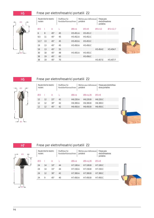

| routers | Router bits for electric |              | Shaftfräser für<br>Handoberfräsmaschinen |                       | portative | Mèches pour defonseuse | Fresas para<br>electrofresadoras<br>portatiles |                       |  |
|---------|--------------------------|--------------|------------------------------------------|-----------------------|-----------|------------------------|------------------------------------------------|-----------------------|--|
| ØD      |                          | A            | L                                        | $ØS=6$                |           | $QS = 8$               | $QS=12$                                        | $OS = 12.7$           |  |
| 6       | 8                        | $45^{\circ}$ | 45                                       | H <sub>5.451</sub> .A |           | H <sub>5.451</sub> .C  |                                                |                       |  |
| 9,5     | 11                       | $45^{\circ}$ | 45                                       | H <sub>5</sub> .452.A |           | H <sub>5</sub> .452.C  |                                                |                       |  |
| 12,7    | 13                       | $45^{\circ}$ | 45                                       | H <sub>5</sub> .453.A |           | H <sub>5</sub> .453.C  |                                                |                       |  |
| 19      | 13                       | $45^{\circ}$ | 45                                       | H <sub>5</sub> .450.A |           | H <sub>5</sub> .450.C  |                                                |                       |  |
| 19      | 13                       | $45^{\circ}$ | 55                                       |                       |           |                        | H5.454.E                                       | H <sub>5</sub> .454.F |  |
| 30      | 18                       | $45^{\circ}$ | 48                                       | H <sub>5</sub> .455.A |           | H <sub>5</sub> .455.C  |                                                |                       |  |
| 38      | 19                       | $45^{\circ}$ | 63                                       |                       |           | H <sub>5</sub> .456.C  |                                                |                       |  |
| 38      | 19                       | $45^{\circ}$ | 70                                       |                       |           |                        | H5.457.E                                       | H5.457.F              |  |





 $\alpha$ 

A

I

# Frese per elettrofresatrici portatili Z2

| routers | Router bits for electric |              | Shaftfräser für<br>Handoberfräsmaschinen | portative             | Mèches pour defonseuse | Fresas para electrofresa-<br>doras portatiles |  |  |  |
|---------|--------------------------|--------------|------------------------------------------|-----------------------|------------------------|-----------------------------------------------|--|--|--|
| ØD      |                          | A            |                                          | $\oslash$ S=6         | $\emptyset$ S=6.35     | $QS = 8$                                      |  |  |  |
| 12      | 12                       | $22^{\circ}$ | 42                                       | H <sub>6.220</sub> .A | H <sub>6.220</sub> .B  | H <sub>6.220</sub> .C                         |  |  |  |
| 12      | 12                       | $30^\circ$   | 42                                       | H <sub>6</sub> .300.A | H <sub>6</sub> .300.B  | H <sub>6</sub> .300.C                         |  |  |  |
| 12      | 12                       | $45^{\circ}$ | 42                                       | H <sub>6.450</sub> .A | H <sub>6</sub> .450.B  | H <sub>6.450</sub> .C                         |  |  |  |
|         |                          |              |                                          |                       |                        |                                               |  |  |  |



H7

 $\perp$   $_{\text{gs}}$  |

L

# Frese per elettrofresatrici portatili Z2



| routers | Router bits for electric |              | Shaftfräser für<br>Handoberfräsmaschinen |                       | Mèches pour defonseuse<br>portative |                       |  | Fresas para<br>electrofresadoras<br>portatiles |  |
|---------|--------------------------|--------------|------------------------------------------|-----------------------|-------------------------------------|-----------------------|--|------------------------------------------------|--|
| ØD      |                          | Α            |                                          | $ØS=6$                |                                     | $ØS = 6,35$           |  | $QS = 8$                                       |  |
| 24      | 14                       | $10^{\circ}$ | 44                                       | H7.100.A              |                                     | H7.100.B              |  | H7.100.C                                       |  |
| 24      | 14                       | $15^{\circ}$ | 44                                       | H7.150.A              |                                     | H <sub>7.150</sub> .B |  | H7.150.C                                       |  |
| 24      | 12                       | $30^{\circ}$ | 42                                       | H7.300.A              |                                     | H7.300.B              |  | H7.300.C                                       |  |
| 24      | 9                        | $45^{\circ}$ | 40                                       | H <sub>7.450</sub> .A |                                     | H <sub>7.450</sub> .B |  | H7.450.C                                       |  |

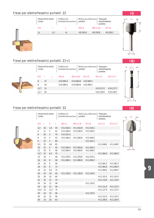**9**

| Router bits for electric<br>routers |      | Shaftfräser für<br>Handoberfräsmaschinen | Mèches pour defonseuse<br>portative |             | Fresas para<br>portatiles | electrofresadoras |  |
|-------------------------------------|------|------------------------------------------|-------------------------------------|-------------|---------------------------|-------------------|--|
| ØD                                  |      |                                          | $\mathcal{O}S = 6$                  | $ØS = 6,35$ |                           | $QS = 8$          |  |
| 19                                  | 12,7 | 45                                       | H8.190.A                            | H8.190.B    |                           | H8.190.C          |  |
|                                     |      |                                          |                                     |             |                           |                   |  |
|                                     |      |                                          |                                     |             |                           |                   |  |

# Frese per elettrofresatrici portatili Z1+1

| routers | Router bits for electric | Shaftfräser für<br>Handoberfräsmaschinen |             | portative | Mèches pour defonseuse | portatiles            | Fresas para<br>electrofresadoras |  |  |
|---------|--------------------------|------------------------------------------|-------------|-----------|------------------------|-----------------------|----------------------------------|--|--|
| ØD      |                          | $\mathcal{O}S = 6$                       | $ØS = 6,35$ |           | $QS = 8$               | $QS=12$               | $OS = 12.7$                      |  |  |
| 6       | 15                       | H <sub>10.060</sub> .A                   | H10.060.B   |           | H <sub>10.060</sub> .C |                       |                                  |  |  |
| 8       | 19                       | H10.080.A                                | H10.080.B   |           | H <sub>10.080</sub> .C |                       |                                  |  |  |
| 12,7    | -31                      |                                          |             |           |                        | H <sub>10.127</sub> F | H <sub>10.127</sub> .F           |  |  |
| 12.7    | 50                       |                                          |             |           |                        | H10.128.E             | H10.128.F                        |  |  |

Mèches pour defonseuse

Fresas para electrofresadoras portatiles

portative

# Frese per elettrofresatrici portatili Z2

routers

Router bits for electric

| ØD                |    | R              |    | $\emptyset$ S=6        | $ØS = 6,35$            | $QS = 8$  | $QS=12$   | $QS = 12.7$ |
|-------------------|----|----------------|----|------------------------|------------------------|-----------|-----------|-------------|
| 3,2               | 10 | 1,6            | 45 | H <sub>11.016</sub> .A | H <sub>11.016</sub> .B | H11.016.C |           |             |
| 6                 | 11 | 3              | 42 | H11.030.A              | H11.030.B              | H11.030.C |           |             |
| 6                 | 26 | 3              | 70 | H11.031.A              |                        |           |           |             |
| 8                 | 13 | 4              | 43 | H <sub>11.040</sub> .A | H <sub>11.040</sub> .B | H11.040.C |           |             |
| 8                 | 32 | $\overline{4}$ | 80 |                        |                        | H11.041.C |           |             |
| 9,5               | 25 | 4.8            | 65 |                        |                        |           | H11.048.E | H11.048.F   |
| 10                | 15 | 5              | 45 | H11.050.A              | H11.050.B              | H11.050.C |           |             |
| $12 \overline{ }$ | 16 | 6              | 46 | H11.060.A              | H11.060.B              | H11.060.C |           |             |
| 12,7              | 32 | 6,4            | 75 |                        |                        |           | H11.064.E | H11.064.F   |
| 14                | 16 | 7              | 46 | H11.070.A              | H11.070.B              | H11.070.C |           |             |
| 16                | 16 | 8              | 46 | H11.080.A              | H11.080.B              | H11.080.C |           |             |
| 16                | 16 | 8              | 56 |                        |                        |           | H11.081.E | H11.081.F   |
| 16                | 32 | 8              | 75 |                        |                        |           | H11.082.E | H11.082.F   |
| 19                | 32 | 9.5            | 75 |                        |                        |           | H11.095.E | H11.095.F   |
| 20                | 20 | 10             | 50 | H <sub>11</sub> .100.A | H11.100.B              | H11.100.C |           |             |
| 20                | 20 | 10             | 60 |                        |                        |           | H11.101.E | H11.101.F   |

Shaftfräser für Handoberfräsmaschinen

24 16 12 46 H11.120.C

30 16 15 46 H11.150.C

22 32 11 75 H11.110.E H11.110.F

24 16 12 56 H11.121.E H11.121.F 25,4 32 12,7 75 H11.127.E H11.127.F

30 16 15 56 H11.151.E H11.151.F 40 23 20 63 H11.200.E H11.200.F







L

H8

### H10

ØD

I

L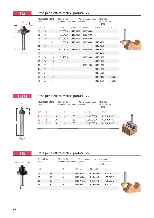

| routers | Router bits for electric |                 | Shaftfräser für<br>Handoberfräsmaschinen |             | portative | Mèches pour defonseuse | Fresas para<br>electrofresadoras<br>portatiles |             |  |
|---------|--------------------------|-----------------|------------------------------------------|-------------|-----------|------------------------|------------------------------------------------|-------------|--|
| ØD      |                          | $\mathsf{R}$    | $\mathcal{O}S = 6$                       | $ØS = 6.35$ |           | $OS=8$                 | $QS=12$                                        | $QS = 12,7$ |  |
| 12      | 10                       | 3               | H13.030.A                                | H13.030.B   |           | H13.030.C              |                                                |             |  |
| 14      | 10                       | $\overline{4}$  | H13.040.A                                | H13.040.B   |           | H13.040.C              |                                                |             |  |
| 16      | 10                       | 5               | H13.050.A                                | H13.050.B   |           | H13.050.C              |                                                |             |  |
| 18      | 12                       | 6               | H13.060.A                                | H13.060.B   |           | H13.060.C              | H13.060.E                                      |             |  |
| 24      | 12                       | 6               |                                          |             |           |                        | H13.061.E                                      |             |  |
| 22      | 12                       | 8               | H13.080.A                                | H13.080.B   |           | H13.080.C              | H13.080.E                                      |             |  |
| 28      | 12                       | 8               |                                          |             |           |                        | H13.081.E                                      |             |  |
| 26      | 14                       | 10 <sup>°</sup> | H13.100.A                                |             |           | H13.100.C              | H13.100.E                                      |             |  |
| 32      | 14                       | 10              |                                          |             |           |                        | H13.101.E                                      |             |  |
| 30      | 19                       | 12              |                                          |             |           | H13.120.C              | H13.120.E                                      |             |  |
| 36      | 19                       | 12              |                                          |             |           |                        | H13.121.E                                      |             |  |
| 42      | 21                       | 15              |                                          |             |           |                        | H13.150.E                                      |             |  |
| 52      | 26                       | 20              |                                          |             |           |                        | H13.200.E                                      | H13.200.F   |  |
| 63      | 32                       | 25              |                                          |             |           |                        | H13.250.E                                      | H13.250.F   |  |

H13/01

# ØD Ød ØS L R

#### Frese per elettrofresatrici portatili Z2

| routers | Router bits for electric |    | Shaftfräser für<br>Handoberfräsmaschinen |    | Mèches pour defonseuse<br>portative | Fresas para<br>electrofresadoras<br>portatiles |
|---------|--------------------------|----|------------------------------------------|----|-------------------------------------|------------------------------------------------|
|         | Ød                       |    | R                                        |    | $\mathcal{O}S = 6$                  | $QS = 8$                                       |
| 8       | $\mathcal{P}$            | 10 | 3                                        | 50 | H13/01.030.A                        | H13/01.030.C                                   |
| 10      | $\mathcal{D}$            | 10 | 4                                        | 50 | H13/01.040.A                        | H13/01.040.C                                   |
| 12      | $\mathcal{P}$            | 10 | 5                                        | 50 | H13/01.050.A                        | H13/01.050.C                                   |
|         |                          |    |                                          |    |                                     |                                                |



H15

ØD

ØS

#### Frese per elettrofresatrici portatili Z2



H13

L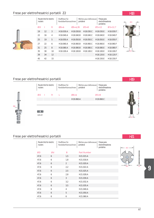| routers | Router bits for electric |                 | Shaftfräser für<br>Handoberfräsmaschinen |                        | portative | Mèches pour defonseuse | Fresas para<br>electrofresadoras<br>portatiles |                        |
|---------|--------------------------|-----------------|------------------------------------------|------------------------|-----------|------------------------|------------------------------------------------|------------------------|
| ØD      | ı                        | R               | $\mathcal{O}S = 6$                       | $ØS = 6.35$            |           | $QS = 8$               | $QS=12$                                        | $QS = 12.7$            |
| 19      | 12                       | 3               | H18.030.A                                | H <sub>18.030</sub> .B |           | H <sub>18.030</sub> .C | H18.030.F                                      | H18.030.F              |
| 22      | 16                       | $\overline{4}$  | H18.040.A                                | H18.040.B              |           | H <sub>18</sub> .040.C | H18.040.F                                      | H18.040.F              |
| 25      | 19                       | 5               | H18.050.A                                | H <sub>18.050</sub> .B |           | H <sub>18.050</sub> .C | H18.050.F                                      | H18.050.F              |
| 27      | 22                       | 6               | H18.060.A                                | H18.060.B              |           | H18.060.C              | H18.060.F                                      | H18.060.F              |
| 31      | 25                       | 8               | H18.080.A                                | H18.080.B              |           | H18.080.C              | H18.080.F                                      | H18.080.F              |
| 35      | 30                       | 10 <sup>2</sup> | H <sub>18.100</sub> .A                   | H <sub>18.100</sub> .B |           | H <sub>18.100</sub> .C | H <sub>18.100</sub> F                          | H18.100.F              |
| 39      | 34                       | 12              |                                          |                        |           |                        | H18.120.F                                      | H <sub>18.120</sub> .F |
| 45      | 42                       | 15              |                                          |                        |           |                        | H18.150.F                                      | H <sub>18.150</sub> F  |

# Frese per elettrofresatrici portatili



| routers | Router bits for electric |              | Shaftfräser für<br>Handoberfräsmaschinen | Mèches pour defonseuse<br>portative | Fresas para<br>electrofresadoras<br>portatiles |       |
|---------|--------------------------|--------------|------------------------------------------|-------------------------------------|------------------------------------------------|-------|
| ØD      |                          | $\mathsf{R}$ |                                          | $\mathcal{O}S = 6$                  | $QS = 8$                                       |       |
|         |                          |              |                                          | H19.060.A                           | H19.060.C                                      |       |
|         |                          |              |                                          |                                     |                                                |       |
| 626 ZZ  |                          |              |                                          |                                     |                                                | — ⊿ ⊘ |

# Frese per elettrofresatrici portatili

| Router bits for electric<br>routers |    | Shaftfräser für | Handoberfräsmaschinen | Mèches pour defonseuse<br>portative | Fresas para<br>electrofresadoras<br>portatiles |  |
|-------------------------------------|----|-----------------|-----------------------|-------------------------------------|------------------------------------------------|--|
| ØD                                  | Ød |                 | B                     | <b>Part Number</b>                  |                                                |  |
| 47,6                                | 6  |                 | 1,5                   | H21.015.A                           |                                                |  |
| 47,6                                | 6  |                 | 1,8                   | H21.018.A                           |                                                |  |
| 47,6                                | 6  |                 | $\mathcal{P}$         | H21.020.A                           |                                                |  |
| 47,6                                | 6  |                 | 2,2                   | H21.022.A                           |                                                |  |
| 47,6                                | 6  |                 | 2,5                   | H21.025.A                           |                                                |  |
| 47,6                                | 6  |                 | 2,8                   | H21.028.A                           |                                                |  |
| 47,6                                | 6  |                 | 3                     | H21.030.A                           |                                                |  |
| 47,6                                | 6  |                 | 3,2                   | H21.032.A                           |                                                |  |
| 47,6                                | 6  |                 | 3,5                   | H21.035.A                           |                                                |  |
| 47,6                                | 6  |                 | $\overline{4}$        | H <sub>21.040</sub> .A              |                                                |  |
| 47,6                                | 6  |                 | 5                     | H21.050.A                           |                                                |  |
| 47,6                                | 6  |                 | 6                     | H21.060.A                           |                                                |  |



H<sub>19</sub>

 $H21$ 



 $\alpha$ n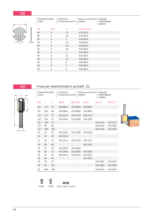# $H22$



| Router bits for electric<br>routers |    | Shaftfräser für | Handoberfräsmaschinen | Mèches pour defonseuse<br>portative | Fresas para<br>electrofresadoras<br>portatiles |
|-------------------------------------|----|-----------------|-----------------------|-------------------------------------|------------------------------------------------|
| ØD                                  | Ød |                 | B                     | <b>Part Number</b>                  |                                                |
| 40                                  | 6  |                 | 1,5                   | H22.015.A                           |                                                |
| 40                                  | 6  |                 | 1,8                   | H22.018.A                           |                                                |
| 40                                  | 6  |                 | $\mathcal{P}$         | H22.020.A                           |                                                |
| 40                                  | 6  |                 | 2,2                   | H22.022.A                           |                                                |
| 40                                  | 6  |                 | 2,5                   | H22.025.A                           |                                                |
| 40                                  | 6  |                 | 2,8                   | H22.028.A                           |                                                |
| 40                                  | 6  |                 | 3                     | H22.030.A                           |                                                |
| 40                                  | 6  |                 | 3,2                   | H22.032.A                           |                                                |
| 40                                  | 6  |                 | 3,5                   | H22.035.A                           |                                                |
| 40                                  | 6  |                 | 4                     | H22.040.A                           |                                                |
| 40                                  | 6  |                 | 5                     | H22.050.A                           |                                                |
| 40                                  | 6  |                 | 6                     | H22.060.A                           |                                                |

H<sub>23</sub>

# Frese per elettrofresatrici portatili Z2 tar bits for alactric | Shaftfräser für | Màches



| routers | Router bits for electric |     | Shaftfräser für<br>Handoberfräsmaschinen |                        | Mèches pour defonseuse<br>portative |                        |  | Fresas para<br>electrofresadoras<br>portatiles |           |  |
|---------|--------------------------|-----|------------------------------------------|------------------------|-------------------------------------|------------------------|--|------------------------------------------------|-----------|--|
| ØD      | ı                        | L   | $\mathcal{O}S = 6$                       | $ØS = 6,35$            |                                     | $OS=8$                 |  | $QS=12$                                        | $OS=12,7$ |  |
| 9,5     | 12,7                     | 55  | H23.095.A                                | H23.095.B              |                                     | H23.095.C              |  |                                                |           |  |
| 9,5     | 25,4                     | 68  | H23.096.A                                | H23.096.B              |                                     | H23.096.C              |  |                                                |           |  |
| 12,7    | 12,7                     | 57  | H23.127.A                                | H23.127.B              |                                     | H23.127.C              |  |                                                |           |  |
| 12,7    | 25,4                     | 67  | H23.128.A                                | H23.128.B              |                                     | H23.128.C              |  |                                                |           |  |
| 12,7    | 25,4                     | 75  |                                          |                        |                                     |                        |  | H23.127.E                                      | H23.127.F |  |
| 12,7    | 38                       | 90  |                                          |                        |                                     |                        |  | H23.128.E                                      | H23.128.F |  |
| 12,7    | 50,8                     | 103 |                                          |                        |                                     |                        |  | H23.129.E                                      | H23.129.F |  |
| 13      | 15                       | 55  | H23.130.A                                | H23.130.B              |                                     | H23.130.C              |  |                                                |           |  |
| 13      | 25                       | 67  | H23.133.A                                |                        |                                     |                        |  |                                                |           |  |
| 13      | 30                       | 70  | H <sub>23.131</sub> .A                   | H <sub>23</sub> .131.B |                                     | H <sub>23.131</sub> .C |  |                                                |           |  |
| 13      | 40                       | 80  |                                          |                        |                                     | H23.132.C              |  |                                                |           |  |
| 16      | 15                       | 55  | H23.160.A                                | H23.160.B              |                                     |                        |  |                                                |           |  |
| 19      | 15                       | 57  | H23.190.A                                | H23.190.B              |                                     | H23.190.C              |  |                                                |           |  |
| 19      | 25                       | 63  | H23.191.A                                | H23.191.B              |                                     | H23.191.C              |  |                                                |           |  |
| 19      | 40                       | 82  |                                          |                        |                                     | H23.192.C              |  |                                                |           |  |
| 19      | 25                       | 75  |                                          |                        |                                     |                        |  | H23.193.E                                      | H23.193.F |  |
| 19      | 40                       | 90  |                                          |                        |                                     |                        |  | H23.194.E                                      | H23.194.F |  |
| 19      | 50,8                     | 104 |                                          |                        |                                     |                        |  | H23.195.E                                      | H23.195.F |  |



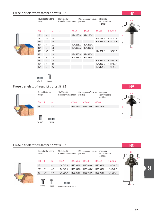| routers      | Router bits for electric |    | Shaftfräser für<br>Handoberfräsmaschinen |                        | portative | Mèches pour defonseuse | Fresas para<br>electrofresadoras<br>portatiles |             |  |
|--------------|--------------------------|----|------------------------------------------|------------------------|-----------|------------------------|------------------------------------------------|-------------|--|
| ØD           | ı                        | A  | L                                        | $\emptyset$ S=6        |           | $QS = 8$               | $QS=12$                                        | $OS = 12.7$ |  |
| $15^\circ$   | 19                       | 12 |                                          | H <sub>24.150</sub> .A |           | H <sub>24.150.C</sub>  |                                                |             |  |
| $15^\circ$   | 24,5                     | 22 |                                          |                        |           |                        | H24.151.E                                      | H24.151.F   |  |
| $22.5^\circ$ | 31                       | 22 |                                          |                        |           |                        | H24.225.E                                      | H24.225.F   |  |
| 25°          | 23                       | 11 |                                          | H24.251.A              |           | H24.251.C              |                                                |             |  |
| $30^\circ$   | 15                       | 10 |                                          | H24.300.A              |           | H24.300.C              |                                                |             |  |
| $30^\circ$   | 38,5                     | 22 |                                          |                        |           |                        | H24.301.E                                      | H24.301.F   |  |
| $45^{\circ}$ | 32                       | 10 |                                          | H <sub>24</sub> .450.A |           | H <sub>24</sub> .450.C |                                                |             |  |
| 45°          | 39                       | 13 |                                          | H <sub>24</sub> .451.A |           | H24.451.C              |                                                |             |  |
| $45^{\circ}$ | 45                       | 18 |                                          |                        |           |                        | H24.452.E                                      | H24.452.F   |  |
| $45^{\circ}$ | 53                       | 20 |                                          |                        |           |                        | H24.453.E                                      | H24.453.F   |  |
| $45^{\circ}$ | 65                       | 26 |                                          |                        |           |                        | H24.454.E                                      | H24.454.F   |  |
|              |                          |    |                                          |                        |           |                        |                                                |             |  |



 $\mathbb{R}$  $|O|$   $|O|$ 

624 ZZ 1V. 008

#### Frese per elettrofresatrici portatili Z2



#### Frese per elettrofresatrici portatili Z2

Router bits for electric Shaftfräser für Mèches pour defonseuse Fresas para ØD Handoberfräsmaschinen portative electrofresadoras routers portatiles ØD I R ØS=6 ØS=6,35 ØS=8 ØS=12 ØS=12,7 26 12 4 H26.040.A H26.040.B H26.040.C H26.040.E H26.040.F 28,5 11 4,8 H26.048.A H26.048.B H26.048.C H26.048.E H26.048.F L 35 10 6,4 H26.064.A H26.064.B H26.064.C H26.064.E H26.064.F ¦...<br>∏  $\circ$   $\circ$ ØS 1V. 005 1V. 008 624 ZZ - 626 ZZ - R166 ZZ



H25

R R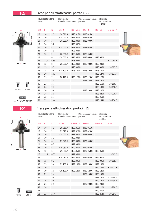$\varnothing$ S=6

H28.016.A

H28.020.A

H28.030.A

H28.050.A

H28.060.A

H28.080.A

H28.100.A

H28.120.A

Shaftfräser für

Handoberfräsmaschinen

Mèches pour defonseuse

 $QS = 8$ 

H28.016.C

H28.020.C

H28.030.C

H28.060.C

H28.080.C

H28.100.C

H28.120.C

H28.150.C

H28.200.C

portative

 $ØS = 6,35$ 

H28.016.B

H28.020.B

H28.030.B

H28.032.B

H28.040.A H28.040.B H28.040.C

H28.048.B

H28.060.B

H28.063.B

H28.080.B

H28.095.B

H28.100.B

H28.120.B

H28.050.B H28.050.C

Fresas para

portatiles

 $\varnothing$ S=12

H28.060.E

H28.080.E

H28.095.E

H28.100.E

H28.127.E

H28.120.E

H28.150.E

H28.160.E

H28.190.E

H28.200.E

H28.220.E

H28.250.E

H28.254.E

electrofresadoras

 $QS = 12,7$ 

H28.063.F

H28.095.F

H28.127.F

H28.160.F

H28.190.F

H28.220.F

H28.254.F

Router bits for electric

Ť

10

 $10$ 

 $10$ 

10

 $10$ 

 $10$ 

 $10$ 

 $12$ 

 $12,7$ 

 $12$ 

15

15

20

19

21

23

26

26

28

32

32

 $\overline{R}$ 

 $1,6$ 

 $\overline{2}$ 

 $\sqrt{3}$ 

 $3,2$ 

 $\overline{4}$ 

 $4,8$ 

 $5\,$ 

6

 $\, 8$ 

 $9,5$ 

10

 $12,7$ 

 $12$ 

15

16

19

20

22

25

 $25,4$ 

6,35

routers

ØD

17

18

19

19

21

22

23

25

26

29

32

33

38

37

43

45

51

53

57

63

63





 $\overline{O}$   $\overline{O}$ 624 ZZ - 626 ZZ - R166 ZZ

**H29** 

ØD

#### Frese per elettrofresatrici portatili Z2

|           | routers | Router bits for electric |                | Shaftfräser für<br>Handoberfräsmaschinen |             | portative | Mèches pour defonseuse | Fresas para<br>electrofresadoras<br>portatiles |           |
|-----------|---------|--------------------------|----------------|------------------------------------------|-------------|-----------|------------------------|------------------------------------------------|-----------|
|           | ØD      |                          | $\mathsf{R}$   | $\mathcal{O}S = 6$                       | $ØS = 6,35$ |           | $QS = 8$               | $QS=12$                                        | $OS=12,7$ |
|           | 17      | 10                       | 1,6            | H29.016.A                                | H29.016.B   |           | H29.016.C              |                                                |           |
|           | 18      | 10                       | 2              | H29.020.A                                | H29.020.B   |           | H29.020.C              |                                                |           |
|           | 19      | 10                       | 3              | H29.030.A                                | H29.030.B   |           | H29.030.C              |                                                |           |
|           | 19      | 10                       | 3,2            |                                          | H29.032.B   |           |                        |                                                |           |
|           | 21      | 10                       | $\overline{4}$ | H <sub>29.040</sub> .A                   | H29.040.B   |           | H29.040.C              |                                                |           |
|           | 22      | 10                       | 4,8            |                                          | H29.048.B   |           |                        |                                                |           |
|           | 23      | 10                       | 5              | H29.050.A                                | H29.050.B   |           | H29.050.C              |                                                |           |
|           | 25      | 12                       | 6              | H29.060.A                                | H29.060.B   |           | H29.060.C              | H29.060.E                                      |           |
|           | 26      | 12,7                     | 6,35           |                                          | H29.063.B   |           |                        |                                                | H29.063.F |
|           | 29      | 12                       | 8              | H29.080.A                                | H29.080.B   |           | H29.080.C              | H29.080.E                                      |           |
|           | 32      | 15                       | 9,5            |                                          | H29.095.B   |           |                        | H29.095.E                                      | H29.095.F |
|           | 33      | 15                       | 10             | H29.100.A                                | H29.100.B   |           | H <sub>29.100</sub> .C | H29.100.E                                      |           |
|           | 38      | 20                       | 12,7           |                                          |             |           |                        | H29.127.E                                      | H29.127.F |
|           | 37      | 19                       | 12             | H29.120.A                                | H29.120.B   |           | H29.120.C              | H29.120.E                                      |           |
|           | 43      | 21                       | 15             |                                          |             |           | H29.150.C              | H28.150.E                                      |           |
|           | 45      | 23                       | 16             |                                          |             |           |                        | H29.160.E                                      | H29.160.F |
|           | 51      | 26                       | 19             |                                          |             |           |                        | H29.190.E                                      | H29.190.F |
|           | 53      | 26                       | 20             |                                          |             |           | H29.200.C              | H29.200.E                                      |           |
|           | 57      | 28                       | 22             |                                          |             |           |                        | H29.220.E                                      | H29.220.F |
| $\circ$ 0 | 63      | 32                       | 25             |                                          |             |           |                        | H29.250.E                                      |           |
| 625 ZZ    | 63      | 32                       | 25,4           |                                          |             |           |                        | H29.254.E                                      | H29.254.F |

**H28** 

Ť 1V.007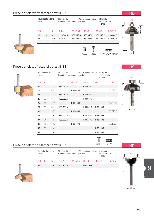#### 101

**9**

# Frese per elettrofresatrici portatili Z2

routers

Router bits for electric

| ×                      |                         |  |
|------------------------|-------------------------|--|
| <b>The Second</b><br>æ | the control of the con- |  |
|                        |                         |  |

### Frese per elettrofresatrici portatili Z2

routers

Router bits for electric

# 31,7 12 9,5 H33.095.B H33.095.F 33 12 10 H33.100.A H33.100.C H33.100.E 37 16 12 H33.120.A H33.120.C H33.120.E 38,1 15,5 12,7 H33.127.B H33.127.F 43 17 15 H33.150.E 53 23 20 H33.200.E

# Frese per elettrofresatrici portatili Z2

| Router bits for electric<br>routers |    |    | Shaftfräser für<br>Handoberfräsmaschinen | portative   | Mèches pour defonseuse | Fresas para<br>electrofresadoras<br>portatiles |  |         |             |
|-------------------------------------|----|----|------------------------------------------|-------------|------------------------|------------------------------------------------|--|---------|-------------|
| ØD                                  |    | R  | $\mathcal{O}S = 6$                       | $ØS = 6,35$ |                        | $OS=8$                                         |  | $QS=12$ | $OS = 12.7$ |
| 25                                  | 12 | 10 | H34.100.A                                |             |                        | H34.100.C                                      |  |         |             |
|                                     |    |    |                                          |             |                        |                                                |  |         |             |
|                                     |    |    |                                          |             |                        |                                                |  |         |             |

ØD I R ØS=6 ØS=6,35 ØS=8 ØS=12 ØS=12,7 29 13 4 H30.040.A H30.040.B H30.040.C H30.040.E H30.040.F 38 18 6,35 H30.063.A H30.063.B H30.063.C H30.063.E H30.063.F

ØD I R ØS=6 ØS=6,35 ØS=8 ØS=12 ØS=12,7

portative

22,2 12 4,8 H33.048.B H33.048.F

25,4 12 6,35 H33.063.B H33.063.F

29 12 8 H33.080.A H33.080.C H33.080.E

21 12 4 H33.040.A H33.040.C

Shaftfräser für Handoberfräsmaschinen

23 12 5 H33.050.A H33.050.C 25 12 6 H33.060.A H33.060.C

portative

Mèches pour defonseuse

Mèches pour defonseuse

Ť

Fresas para electrofresadoras portatiles

Fresas para electrofresadoras portatiles

1V. 005 1V. 008 624 ZZ - 626 ZZ - R166 ZZ

 $|O||O|$ 

 $\mathbb{F}$ 

Shaftfräser für Handoberfräsmaschinen



 $\log$ 





H34





 $\alpha$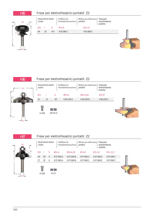



H37



|                                     | Frese per elettrofresatrici portatili Z2 |                |                    |                 |                       |                                     |           |                                                |             |  |  |  |  |
|-------------------------------------|------------------------------------------|----------------|--------------------|-----------------|-----------------------|-------------------------------------|-----------|------------------------------------------------|-------------|--|--|--|--|
| Router bits for electric<br>routers |                                          |                |                    | Shaftfräser für | Handoberfräsmaschinen | Mèches pour defonseuse<br>portative |           | Fresas para<br>electrofresadoras<br>portatiles |             |  |  |  |  |
| ØD                                  |                                          | R              | $\mathcal{O}S = 6$ |                 | $ØS = 6,35$           | $QS = 8$                            | $QS=12$   |                                                | $OS = 12.7$ |  |  |  |  |
| 29                                  | 20                                       | $\overline{4}$ |                    | H37.040.A       | H37.040.B             | H37.040.C                           | H37.040.F |                                                | H37.040.F   |  |  |  |  |
| 37                                  | 20                                       | 6              |                    | H37.060.A       | H37.060.B             | H37.060.C                           | H37.060.E |                                                | H37.060.F   |  |  |  |  |
|                                     | 쁙                                        |                |                    |                 |                       |                                     |           |                                                |             |  |  |  |  |

1V. 008 624 ZZ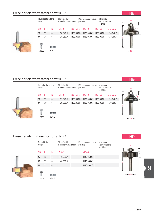

| routers     | Router bits for electric |                | Shaftfräser für<br>Handoberfräsmaschinen |             | portative | Mèches pour defonseuse | Fresas para<br>electrofresadoras<br>portatiles |           |             |
|-------------|--------------------------|----------------|------------------------------------------|-------------|-----------|------------------------|------------------------------------------------|-----------|-------------|
| ØD          |                          | R              | $\mathcal{O}S = 6$                       | $ØS = 6,35$ |           | $OS=8$                 |                                                | $QS=12$   | $QS = 12.7$ |
| 29          | 12                       | $\overline{4}$ | H38.040.A                                | H38.040.B   |           | H38.040.C              |                                                | H38.040.F | H38.040.F   |
| 37          | 18<br>6                  |                | H38.060.A                                | H38.060.B   |           | H38.060.C              |                                                | H38.060.F | H38.060.F   |
| 쁙<br>1V.008 |                          | 624 ZZ         |                                          |             |           |                        |                                                |           |             |



H39

ØD

I

R R

ØS

#### Frese per elettrofresatrici portatili Z2



| routers     | Router bits for electric |                | Shaftfräser für<br>Handoberfräsmaschinen |             | Mèches pour defonseuse<br>portative | Fresas para<br>portatiles | electrofresadoras |  |  |
|-------------|--------------------------|----------------|------------------------------------------|-------------|-------------------------------------|---------------------------|-------------------|--|--|
| ØD          |                          | R              | $\mathcal{O}S = 6$                       | $ØS = 6,35$ | $QS = 8$                            | $QS=12$                   | $QS = 12.7$       |  |  |
| 29          | 12                       | $\overline{4}$ | H39.040.A                                | H39.040.B   | H39.040.C                           | H39.040.F                 | H39.040.F         |  |  |
| 37          | 18<br>6                  |                | H39.060.A                                | H39.060.B   | H39.060.C                           | H39.060.F                 | H39.060.F         |  |  |
| Ë<br>1V.008 |                          | 624 ZZ         |                                          |             |                                     |                           |                   |  |  |

#### Frese per elettrofresatrici portatili Z2



**9**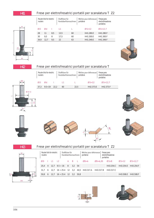#### H41

#### Frese per elettrofresatrici portatili per scanalatura T Z2



| Router bits for electric<br>routers |      |     | Shaftfräser für<br>Handoberfräsmaschinen |    | portative | Mèches pour defonseuse | Fresas para<br>electrofresadoras<br>portatiles |
|-------------------------------------|------|-----|------------------------------------------|----|-----------|------------------------|------------------------------------------------|
| ØD                                  | Ød   |     |                                          |    |           | $\mathcal{O}S = 12$    | $QS = 12.7$                                    |
| 28                                  | 11   | 8.5 | 13.5                                     | 60 |           | H41.280.F              | H41.280.F                                      |
| 30                                  | 9.5  | 8   | 17.5                                     | 60 |           | H41.300 F              | H41.300.F                                      |
| 34.9                                | 12.7 | 9.5 | 22                                       | 63 |           | H41.349.F              | H41.349.F                                      |







A°









|  |  |  | Frese per elettrofresatrici portatili per scanalatura T Z2 |  |
|--|--|--|------------------------------------------------------------|--|
|  |  |  |                                                            |  |

| Router bits for electric<br>routers |  |  | Shaftfräser für                                             |     | Handoberfräsmaschinen |      | Mèches pour defonseuse  <br>portative |                      | Fresas para<br>electrofresadoras<br>portatiles |                     |                     |  |  |
|-------------------------------------|--|--|-------------------------------------------------------------|-----|-----------------------|------|---------------------------------------|----------------------|------------------------------------------------|---------------------|---------------------|--|--|
| ØD                                  |  |  | $\overline{\phantom{a}}$                                    | A B |                       | - L. | $\oslash$ S=6                         | $\varnothing$ S=6.35 | $QS = 8$                                       | $QS=12$             | $QS = 12.7$         |  |  |
| 25.4                                |  |  | $4 \quad 12.7 \quad 9.5 \div 16 \quad 8 \quad 3.2 \quad 54$ |     |                       |      |                                       |                      | H43 254 C                                      | H43.254.F H43.254.F |                     |  |  |
|                                     |  |  | 6 12.7 16 $\div$ 25.4 12 3.2                                |     |                       |      | 44.5 H43.317.A H43.317.B              |                      | H43.317.C                                      |                     |                     |  |  |
| 50.8                                |  |  | $6 \t12.7 \t16 \div 25.4 \t12 \t3.2 \t50.8$                 |     |                       |      |                                       |                      |                                                |                     | H43.508.F H43.508.F |  |  |



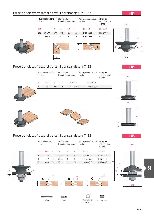#### Frese per elettrofresatrici portatili per scanalatura T Z2



#### Frese per elettrofresatrici portatili per scanalatura T Z2

H45



#### Frese per elettrofresatrici portatili per scanalatura T Z2



**9**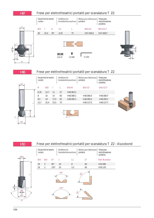

### Frese per elettrofresatrici portatili per scanalatura T Z2

|                | ØS |   | routers      | Router bits for electric |      | Shaftfräser für<br>Handoberfräsmaschinen |           |  | Mèches pour defonseuse<br>portative | Fresas para<br>electrofresadoras<br>portatiles |  |
|----------------|----|---|--------------|--------------------------|------|------------------------------------------|-----------|--|-------------------------------------|------------------------------------------------|--|
|                |    |   | $\mathsf{R}$ | ØD                       |      | L.                                       | $QS = 8$  |  | $QS=12$                             | $QS = 12.7$                                    |  |
|                |    |   | 6,35         | 12,7                     | 11   | 57                                       | H48.063.C |  |                                     |                                                |  |
|                |    |   | 8            | 16                       | 14   | 60                                       | H48.080.C |  | H48.080.E                           | H48.080.F                                      |  |
|                |    |   | 9,5          | 19                       | 17,5 | 63                                       | H48.095.C |  | H48.095.E                           | H48.095.F                                      |  |
|                |    | ᆜ | 12,7         | 25,4                     | 23,5 | 70                                       |           |  | H48.127.E                           | H48.127.F                                      |  |
| $\overline{R}$ | ØD |   |              |                          |      |                                          | $R -$     |  |                                     |                                                |  |